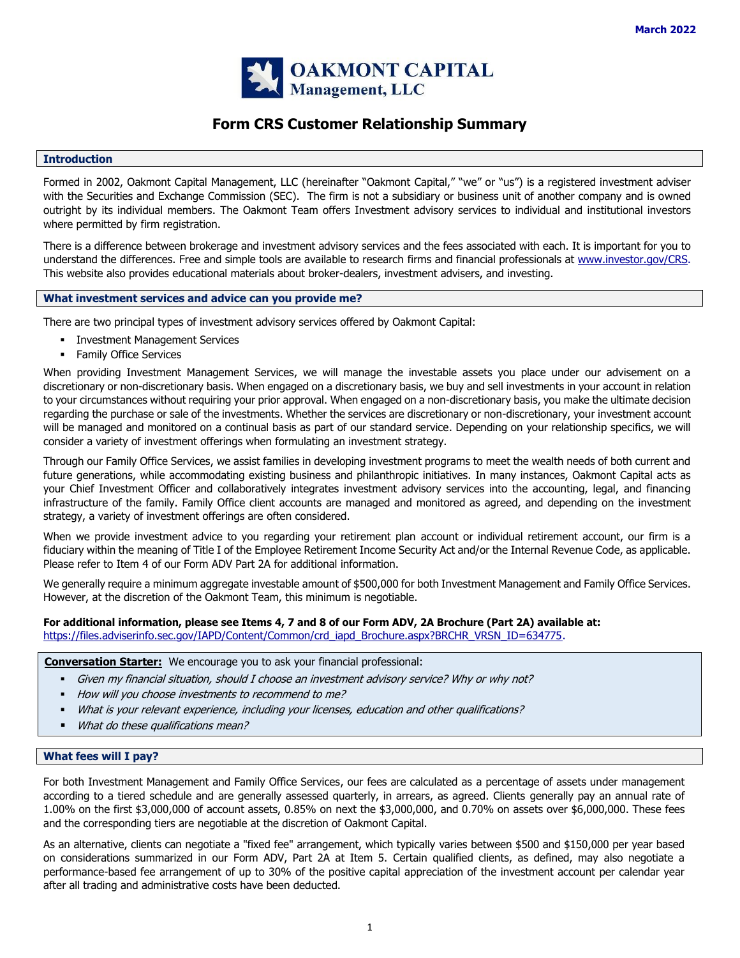

# **Form CRS Customer Relationship Summary**

#### **Introduction**

Formed in 2002, Oakmont Capital Management, LLC (hereinafter "Oakmont Capital," "we" or "us") is a registered investment adviser with the Securities and Exchange Commission (SEC). The firm is not a subsidiary or business unit of another company and is owned outright by its individual members. The Oakmont Team offers Investment advisory services to individual and institutional investors where permitted by firm registration.

There is a difference between brokerage and investment advisory services and the fees associated with each. It is important for you to understand the differences. Free and simple tools are available to research firms and financial professionals at [www.investor.gov/CRS.](http://www.investor.gov/CRS) This website also provides educational materials about broker-dealers, investment advisers, and investing.

## **What investment services and advice can you provide me?**

There are two principal types of investment advisory services offered by Oakmont Capital:

- **·** Investment Management Services
- **•** Family Office Services

When providing Investment Management Services, we will manage the investable assets you place under our advisement on a discretionary or non-discretionary basis. When engaged on a discretionary basis, we buy and sell investments in your account in relation to your circumstances without requiring your prior approval. When engaged on a non-discretionary basis, you make the ultimate decision regarding the purchase or sale of the investments. Whether the services are discretionary or non-discretionary, your investment account will be managed and monitored on a continual basis as part of our standard service. Depending on your relationship specifics, we will consider a variety of investment offerings when formulating an investment strategy.

Through our Family Office Services, we assist families in developing investment programs to meet the wealth needs of both current and future generations, while accommodating existing business and philanthropic initiatives. In many instances, Oakmont Capital acts as your Chief Investment Officer and collaboratively integrates investment advisory services into the accounting, legal, and financing infrastructure of the family. Family Office client accounts are managed and monitored as agreed, and depending on the investment strategy, a variety of investment offerings are often considered.

When we provide investment advice to you regarding your retirement plan account or individual retirement account, our firm is a fiduciary within the meaning of Title I of the Employee Retirement Income Security Act and/or the Internal Revenue Code, as applicable. Please refer to Item 4 of our Form ADV Part 2A for additional information.

We generally require a minimum aggregate investable amount of \$500,000 for both Investment Management and Family Office Services. However, at the discretion of the Oakmont Team, this minimum is negotiable.

# **For additional information, please see Items 4, 7 and 8 of our Form ADV, 2A Brochure (Part 2A) available at:**  [https://files.adviserinfo.sec.gov/IAPD/Content/Common/crd\\_iapd\\_Brochure.aspx?BRCHR\\_VRSN\\_ID=634775.](https://files.adviserinfo.sec.gov/IAPD/Content/Common/crd_iapd_Brochure.aspx?BRCHR_VRSN_ID=634775)

**Conversation Starter:** We encourage you to ask your financial professional:

- Given my financial situation, should I choose an investment advisory service? Why or why not?
- How will you choose investments to recommend to me?
- What is your relevant experience, including your licenses, education and other qualifications?
- What do these qualifications mean?

### **What fees will I pay?**

For both Investment Management and Family Office Services, our fees are calculated as a percentage of assets under management according to a tiered schedule and are generally assessed quarterly, in arrears, as agreed. Clients generally pay an annual rate of 1.00% on the first \$3,000,000 of account assets, 0.85% on next the \$3,000,000, and 0.70% on assets over \$6,000,000. These fees and the corresponding tiers are negotiable at the discretion of Oakmont Capital.

As an alternative, clients can negotiate a "fixed fee" arrangement, which typically varies between \$500 and \$150,000 per year based on considerations summarized in our Form ADV, Part 2A at Item 5. Certain qualified clients, as defined, may also negotiate a performance-based fee arrangement of up to 30% of the positive capital appreciation of the investment account per calendar year after all trading and administrative costs have been deducted.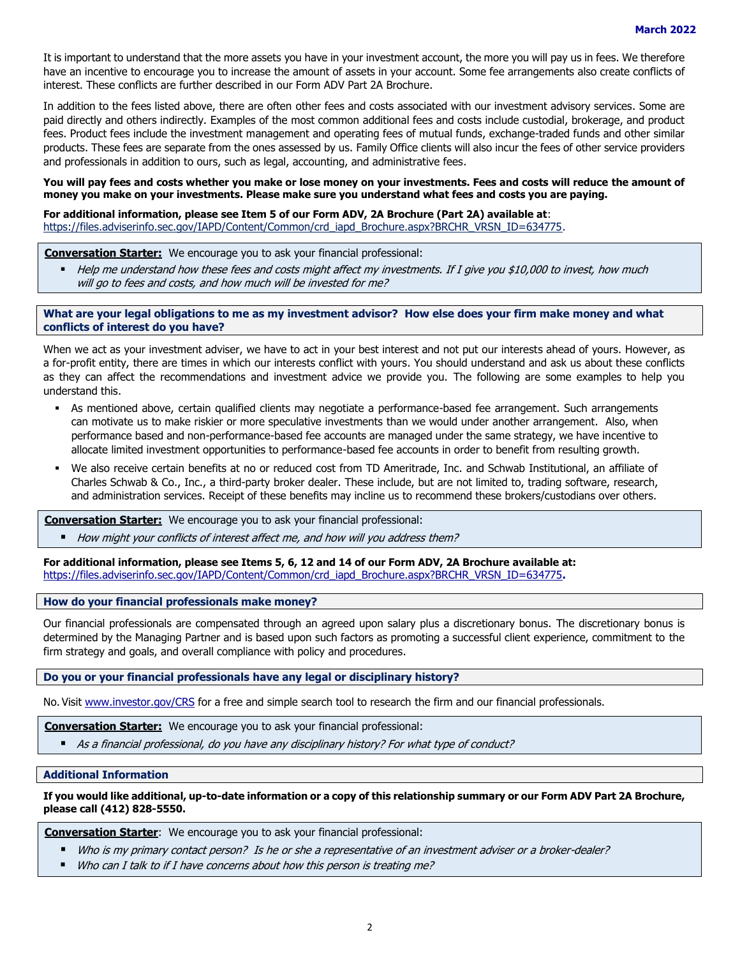It is important to understand that the more assets you have in your investment account, the more you will pay us in fees. We therefore have an incentive to encourage you to increase the amount of assets in your account. Some fee arrangements also create conflicts of interest. These conflicts are further described in our Form ADV Part 2A Brochure.

In addition to the fees listed above, there are often other fees and costs associated with our investment advisory services. Some are paid directly and others indirectly. Examples of the most common additional fees and costs include custodial, brokerage, and product fees. Product fees include the investment management and operating fees of mutual funds, exchange-traded funds and other similar products. These fees are separate from the ones assessed by us. Family Office clients will also incur the fees of other service providers and professionals in addition to ours, such as legal, accounting, and administrative fees.

#### **You will pay fees and costs whether you make or lose money on your investments. Fees and costs will reduce the amount of money you make on your investments. Please make sure you understand what fees and costs you are paying.**

### **For additional information, please see Item 5 of our Form ADV, 2A Brochure (Part 2A) available at**:

[https://files.adviserinfo.sec.gov/IAPD/Content/Common/crd\\_iapd\\_Brochure.aspx?BRCHR\\_VRSN\\_ID=634775.](https://files.adviserinfo.sec.gov/IAPD/Content/Common/crd_iapd_Brochure.aspx?BRCHR_VRSN_ID=634775)

# **Conversation Starter:** We encourage you to ask your financial professional:

■ Help me understand how these fees and costs might affect my investments. If I give you \$10,000 to invest, how much will go to fees and costs, and how much will be invested for me?

## **What are your legal obligations to me as my investment advisor? How else does your firm make money and what conflicts of interest do you have?**

When we act as your investment adviser, we have to act in your best interest and not put our interests ahead of yours. However, as a for-profit entity, there are times in which our interests conflict with yours. You should understand and ask us about these conflicts as they can affect the recommendations and investment advice we provide you. The following are some examples to help you understand this.

- As mentioned above, certain qualified clients may negotiate a performance-based fee arrangement. Such arrangements can motivate us to make riskier or more speculative investments than we would under another arrangement. Also, when performance based and non-performance-based fee accounts are managed under the same strategy, we have incentive to allocate limited investment opportunities to performance-based fee accounts in order to benefit from resulting growth.
- We also receive certain benefits at no or reduced cost from TD Ameritrade, Inc. and Schwab Institutional, an affiliate of Charles Schwab & Co., Inc., a third-party broker dealer. These include, but are not limited to, trading software, research, and administration services. Receipt of these benefits may incline us to recommend these brokers/custodians over others.

**Conversation Starter:** We encourage you to ask your financial professional:

How might your conflicts of interest affect me, and how will you address them?

**For additional information, please see Items 5, 6, 12 and 14 of our Form ADV, 2A Brochure available at:**  [https://files.adviserinfo.sec.gov/IAPD/Content/Common/crd\\_iapd\\_Brochure.aspx?BRCHR\\_VRSN\\_ID=634775](https://files.adviserinfo.sec.gov/IAPD/Content/Common/crd_iapd_Brochure.aspx?BRCHR_VRSN_ID=634775)**.**

#### **How do your financial professionals make money?**

Our financial professionals are compensated through an agreed upon salary plus a discretionary bonus. The discretionary bonus is determined by the Managing Partner and is based upon such factors as promoting a successful client experience, commitment to the firm strategy and goals, and overall compliance with policy and procedures.

# **Do you or your financial professionals have any legal or disciplinary history?**

No. Visit [www.investor.gov/CRS](http://www.investor.gov/CRS) for a free and simple search tool to research the firm and our financial professionals.

**Conversation Starter:** We encourage you to ask your financial professional:

■ As a financial professional, do you have any disciplinary history? For what type of conduct?

#### **Additional Information**

**If you would like additional, up-to-date information or a copy of this relationship summary or our Form ADV Part 2A Brochure, please call (412) 828-5550.**

**Conversation Starter**: We encourage you to ask your financial professional:

- Who is my primary contact person? Is he or she a representative of an investment adviser or a broker-dealer?
- Who can I talk to if I have concerns about how this person is treating me?